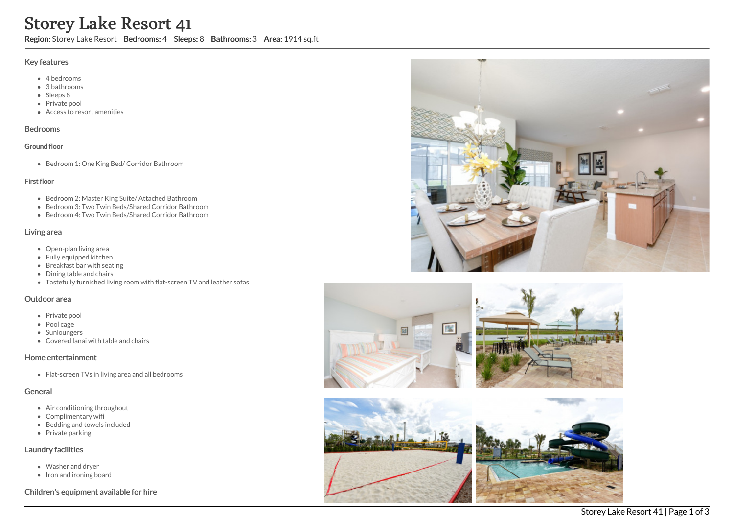# Storey Lake Resort 41

Region: Storey Lake Resort Bedrooms: 4 Sleeps: 8 Bathrooms: 3 Area: 1914 sq.ft

#### Key features

- 4 bedrooms
- 3 bathrooms
- Sleeps 8
- Private pool
- Access to resort amenities

#### Bedrooms

#### Ground floor

Bedroom 1: One King Bed/ Corridor Bathroom

#### First floor

- Bedroom 2: Master King Suite/ Attached Bathroom
- Bedroom 3: Two Twin Beds/Shared Corridor Bathroom
- Bedroom 4: Two Twin Beds/Shared Corridor Bathroom

#### Living area

- Open-plan living area
- Fully equipped kitchen
- Breakfast bar with seating
- Dining table and chairs
- Tastefully furnished living room with flat-screen TV and leather sofas

#### Outdoor area

- Private pool
- Pool cage
- Sunloungers
- Covered lanai with table and chairs

## Home entertainment

• Flat-screen TVs in living area and all bedrooms

#### General

- Air conditioning throughout
- Complimentary wifi
- Bedding and towels included
- Private parking

#### Laundry facilities

- Washer and dryer
- Iron and ironing board

## Children's equipment available for hire







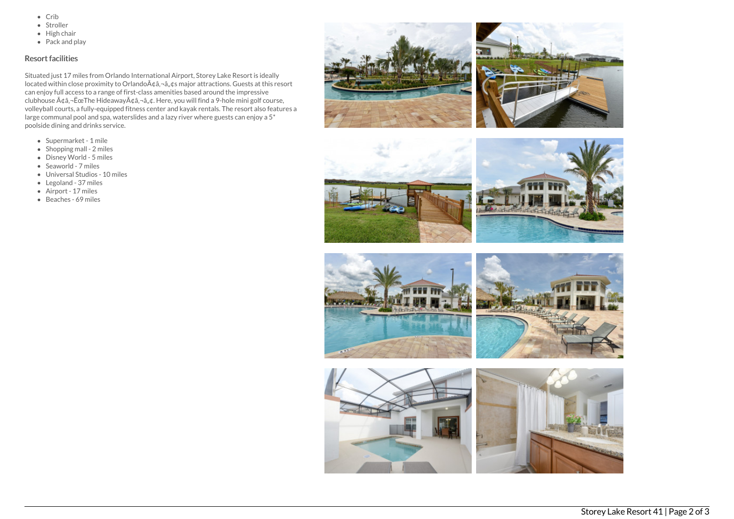- $\bullet$  Crib
- Stroller
- $\bullet$  High chair
- Pack and play

## Resort facilities

Situated just 17 miles from Orlando International Airport, Storey Lake Resort is ideally located within close proximity to Orlando à ¢â, ¬â, ¢s major attractions. Guests at this resort can enjoy full access to a range of first-class amenities based around the impressive clubhouse  $A\phi$ â, - ËœThe Hideaway $A\phi$ â, - â, ¢. Here, you will find a 9-hole mini golf course, volleyball courts, a fully-equipped fitness center and kayak rentals. The resort also features a large communal pool and spa, waterslides and a lazy river where guests can enjoy a 5\* poolside dining and drinks service.

- Supermarket 1 mile
- Shopping mall 2 miles
- Disney World 5 miles
- Seaworld 7 miles
- Universal Studios 10 miles
- Legoland 37 miles
- Airport 17 miles
- Beaches 69 miles